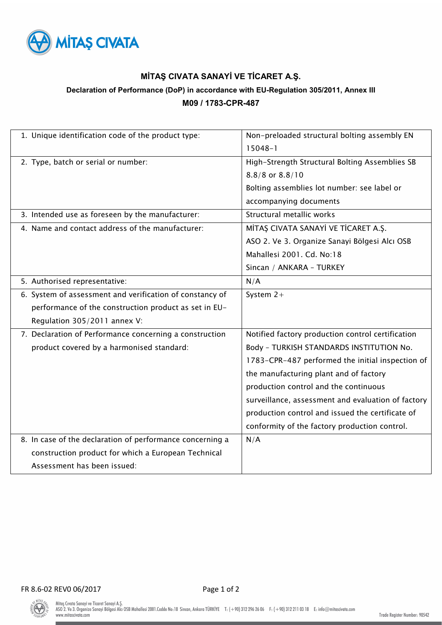

## **MİTAŞ CIVATA SANAYİ VE TİCARET A.Ş.**

# **Declaration of Performance (DoP) in accordance with EU-Regulation 305/2011, Annex III M09 / 1783-CPR-487**

| 1. Unique identification code of the product type:        | Non-preloaded structural bolting assembly EN<br>$15048 - 1$ |  |
|-----------------------------------------------------------|-------------------------------------------------------------|--|
|                                                           |                                                             |  |
| 2. Type, batch or serial or number:                       | High-Strength Structural Bolting Assemblies SB              |  |
|                                                           | 8.8/8 or 8.8/10                                             |  |
|                                                           | Bolting assemblies lot number: see label or                 |  |
|                                                           | accompanying documents                                      |  |
| 3. Intended use as foreseen by the manufacturer:          | Structural metallic works                                   |  |
| 4. Name and contact address of the manufacturer:          | MİTAŞ CIVATA SANAYİ VE TİCARET A.Ş.                         |  |
|                                                           | ASO 2. Ve 3. Organize Sanayi Bölgesi Alcı OSB               |  |
|                                                           | Mahallesi 2001. Cd. No:18                                   |  |
|                                                           | Sincan / ANKARA - TURKEY                                    |  |
| 5. Authorised representative:                             | N/A                                                         |  |
| 6. System of assessment and verification of constancy of  | System $2+$                                                 |  |
| performance of the construction product as set in EU-     |                                                             |  |
| Regulation 305/2011 annex V:                              |                                                             |  |
| 7. Declaration of Performance concerning a construction   | Notified factory production control certification           |  |
| product covered by a harmonised standard:                 | Body - TURKISH STANDARDS INSTITUTION No.                    |  |
|                                                           | 1783-CPR-487 performed the initial inspection of            |  |
|                                                           | the manufacturing plant and of factory                      |  |
|                                                           | production control and the continuous                       |  |
|                                                           | surveillance, assessment and evaluation of factory          |  |
|                                                           | production control and issued the certificate of            |  |
|                                                           | conformity of the factory production control.               |  |
| 8. In case of the declaration of performance concerning a | N/A                                                         |  |
| construction product for which a European Technical       |                                                             |  |
| Assessment has been issued:                               |                                                             |  |

 $\bigcirc$